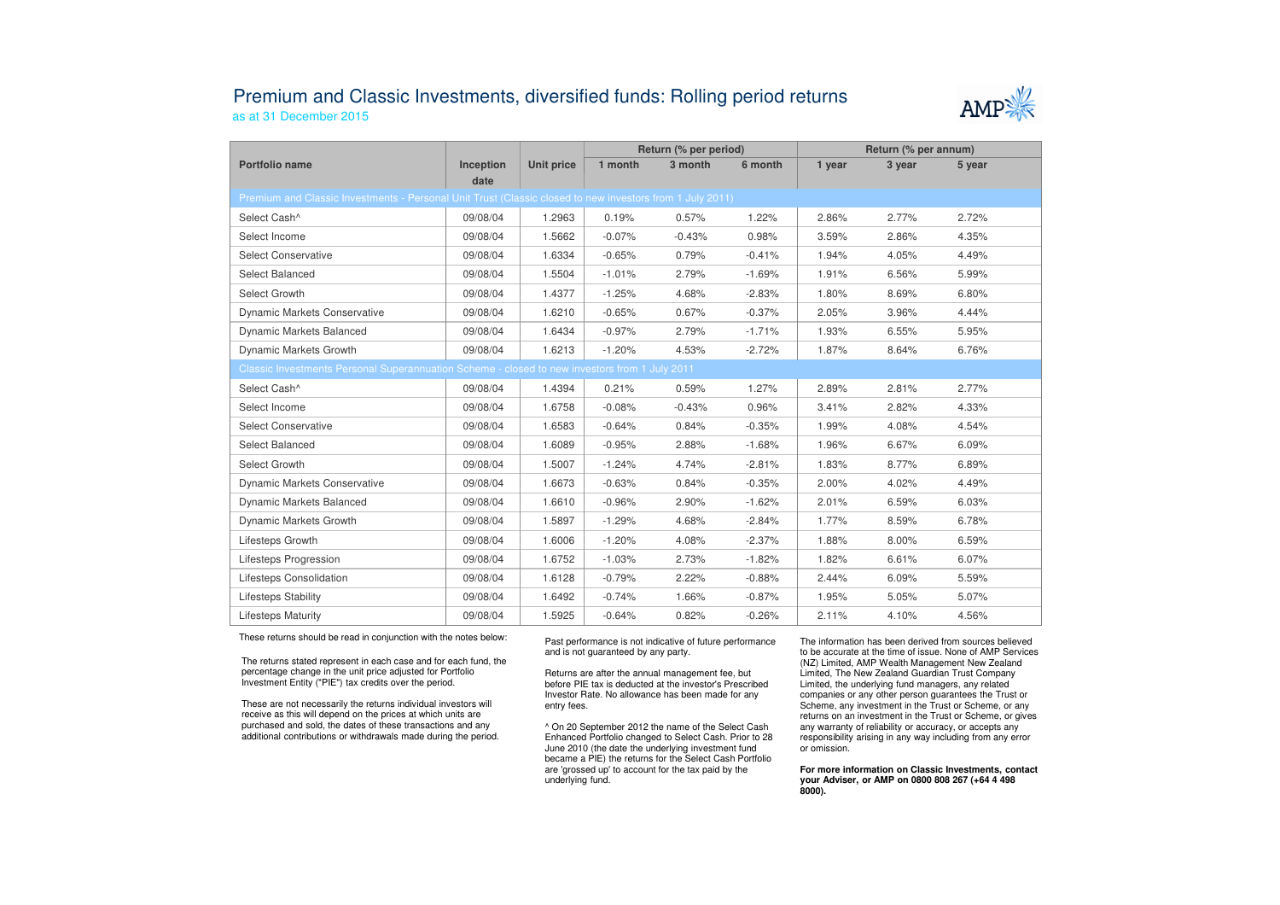## Premium and Classic Investments, diversified funds: Rolling period returnsas at 31 December 2015



|                                                                                                          |                   |                   | Return (% per period) |          |          | Return (% per annum) |        |        |  |  |  |
|----------------------------------------------------------------------------------------------------------|-------------------|-------------------|-----------------------|----------|----------|----------------------|--------|--------|--|--|--|
| Portfolio name                                                                                           | Inception<br>date | <b>Unit price</b> | 1 month               | 3 month  | 6 month  | 1 year               | 3 year | 5 year |  |  |  |
| Premium and Classic Investments - Personal Unit Trust (Classic closed to new investors from 1 July 2011) |                   |                   |                       |          |          |                      |        |        |  |  |  |
| Select Cash^                                                                                             | 09/08/04          | 1.2963            | 0.19%                 | 0.57%    | 1.22%    | 2.86%                | 2.77%  | 2.72%  |  |  |  |
| Select Income                                                                                            | 09/08/04          | 1.5662            | $-0.07%$              | $-0.43%$ | 0.98%    | 3.59%                | 2.86%  | 4.35%  |  |  |  |
| <b>Select Conservative</b>                                                                               | 09/08/04          | 1.6334            | $-0.65%$              | 0.79%    | $-0.41%$ | 1.94%                | 4.05%  | 4.49%  |  |  |  |
| Select Balanced                                                                                          | 09/08/04          | 1.5504            | $-1.01%$              | 2.79%    | $-1.69%$ | 1.91%                | 6.56%  | 5.99%  |  |  |  |
| Select Growth                                                                                            | 09/08/04          | 1.4377            | $-1.25%$              | 4.68%    | $-2.83%$ | 1.80%                | 8.69%  | 6.80%  |  |  |  |
| <b>Dynamic Markets Conservative</b>                                                                      | 09/08/04          | 1.6210            | $-0.65%$              | 0.67%    | $-0.37%$ | 2.05%                | 3.96%  | 4.44%  |  |  |  |
| <b>Dynamic Markets Balanced</b>                                                                          | 09/08/04          | 1.6434            | $-0.97%$              | 2.79%    | $-1.71%$ | 1.93%                | 6.55%  | 5.95%  |  |  |  |
| Dynamic Markets Growth                                                                                   | 09/08/04          | 1.6213            | $-1.20%$              | 4.53%    | $-2.72%$ | 1.87%                | 8.64%  | 6.76%  |  |  |  |
| Classic Investments Personal Superannuation Scheme - closed to new investors from 1 July 2011            |                   |                   |                       |          |          |                      |        |        |  |  |  |
| Select Cash^                                                                                             | 09/08/04          | 1.4394            | 0.21%                 | 0.59%    | 1.27%    | 2.89%                | 2.81%  | 2.77%  |  |  |  |
| Select Income                                                                                            | 09/08/04          | 1.6758            | $-0.08%$              | $-0.43%$ | 0.96%    | 3.41%                | 2.82%  | 4.33%  |  |  |  |
| <b>Select Conservative</b>                                                                               | 09/08/04          | 1.6583            | $-0.64%$              | 0.84%    | $-0.35%$ | 1.99%                | 4.08%  | 4.54%  |  |  |  |
| Select Balanced                                                                                          | 09/08/04          | 1.6089            | $-0.95%$              | 2.88%    | $-1.68%$ | 1.96%                | 6.67%  | 6.09%  |  |  |  |
| Select Growth                                                                                            | 09/08/04          | 1.5007            | $-1.24%$              | 4.74%    | $-2.81%$ | 1.83%                | 8.77%  | 6.89%  |  |  |  |
| <b>Dynamic Markets Conservative</b>                                                                      | 09/08/04          | 1.6673            | $-0.63%$              | 0.84%    | $-0.35%$ | 2.00%                | 4.02%  | 4.49%  |  |  |  |
| Dynamic Markets Balanced                                                                                 | 09/08/04          | 1.6610            | $-0.96%$              | 2.90%    | $-1.62%$ | 2.01%                | 6.59%  | 6.03%  |  |  |  |
| Dynamic Markets Growth                                                                                   | 09/08/04          | 1.5897            | $-1.29%$              | 4.68%    | $-2.84%$ | 1.77%                | 8.59%  | 6.78%  |  |  |  |
| Lifesteps Growth                                                                                         | 09/08/04          | 1.6006            | $-1.20%$              | 4.08%    | $-2.37%$ | 1.88%                | 8.00%  | 6.59%  |  |  |  |
| Lifesteps Progression                                                                                    | 09/08/04          | 1.6752            | $-1.03%$              | 2.73%    | $-1.82%$ | 1.82%                | 6.61%  | 6.07%  |  |  |  |
| Lifesteps Consolidation                                                                                  | 09/08/04          | 1.6128            | $-0.79%$              | 2.22%    | $-0.88%$ | 2.44%                | 6.09%  | 5.59%  |  |  |  |
| Lifesteps Stability                                                                                      | 09/08/04          | 1.6492            | $-0.74%$              | 1.66%    | $-0.87%$ | 1.95%                | 5.05%  | 5.07%  |  |  |  |
| <b>Lifesteps Maturity</b>                                                                                | 09/08/04          | 1.5925            | $-0.64%$              | 0.82%    | $-0.26%$ | 2.11%                | 4.10%  | 4.56%  |  |  |  |

These returns should be read in conjunction with the notes below:

The returns stated represent in each case and for each fund, the percentage change in the unit price adjusted for Portfolio Investment Entity ("PIE") tax credits over the period.

These are not necessarily the returns individual investors will receive as this will depend on the prices at which units are purchased and sold, the dates of these transactions and any additional contributions or withdrawals made during the period. Past performance is not indicative of future performance and is not guaranteed by any party.

Returns are after the annual management fee, but before PIE tax is deducted at the investor's Prescribed Investor Rate. No allowance has been made for any entry fees.

^ On 20 September 2012 the name of the Select Cash Enhanced Portfolio changed to Select Cash. Prior to 28 June 2010 (the date the underlying investment fund became a PIE) the returns for the Select Cash Portfolio are 'grossed up' to account for the tax paid by theunderlying fund.

The information has been derived from sources believed to be accurate at the time of issue. None of AMP Services (NZ) Limited, AMP Wealth Management New Zealand Limited, The New Zealand Guardian Trust Company Limited, the underlying fund managers, any related companies or any other person guarantees the Trust or Scheme, any investment in the Trust or Scheme, or any returns on an investment in the Trust or Scheme, or gives any warranty of reliability or accuracy, or accepts any responsibility arising in any way including from any error or omission.

**For more information on Classic Investments, contact your Adviser, or AMP on 0800 808 267 (+64 4 498 8000).**